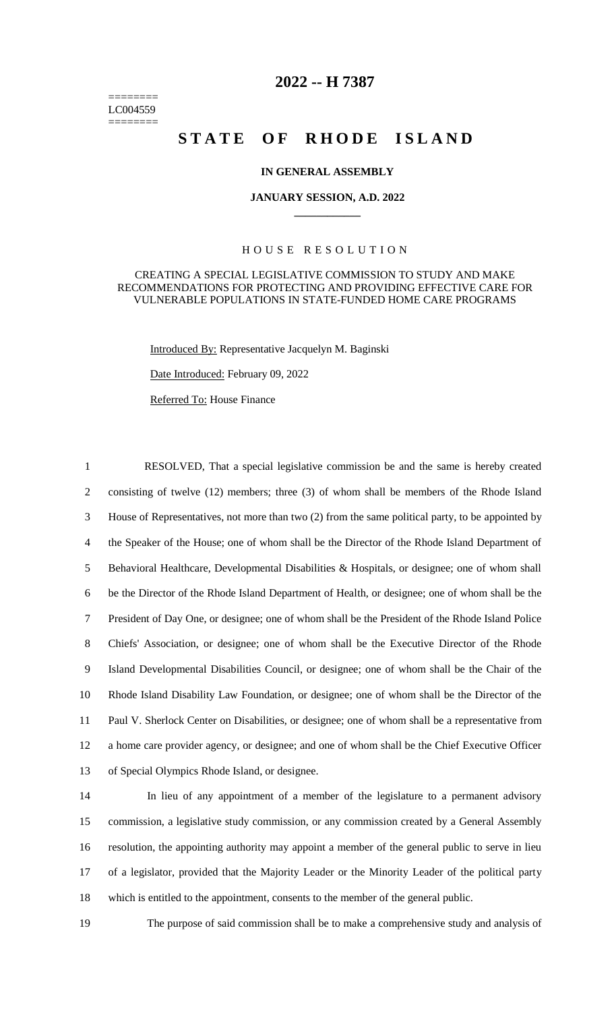======== LC004559 ========

# **2022 -- H 7387**

# **STATE OF RHODE ISLAND**

### **IN GENERAL ASSEMBLY**

#### **JANUARY SESSION, A.D. 2022 \_\_\_\_\_\_\_\_\_\_\_\_**

## H O U S E R E S O L U T I O N

# CREATING A SPECIAL LEGISLATIVE COMMISSION TO STUDY AND MAKE RECOMMENDATIONS FOR PROTECTING AND PROVIDING EFFECTIVE CARE FOR VULNERABLE POPULATIONS IN STATE-FUNDED HOME CARE PROGRAMS

Introduced By: Representative Jacquelyn M. Baginski

Date Introduced: February 09, 2022

Referred To: House Finance

 RESOLVED, That a special legislative commission be and the same is hereby created consisting of twelve (12) members; three (3) of whom shall be members of the Rhode Island House of Representatives, not more than two (2) from the same political party, to be appointed by the Speaker of the House; one of whom shall be the Director of the Rhode Island Department of Behavioral Healthcare, Developmental Disabilities & Hospitals, or designee; one of whom shall be the Director of the Rhode Island Department of Health, or designee; one of whom shall be the President of Day One, or designee; one of whom shall be the President of the Rhode Island Police Chiefs' Association, or designee; one of whom shall be the Executive Director of the Rhode Island Developmental Disabilities Council, or designee; one of whom shall be the Chair of the Rhode Island Disability Law Foundation, or designee; one of whom shall be the Director of the Paul V. Sherlock Center on Disabilities, or designee; one of whom shall be a representative from a home care provider agency, or designee; and one of whom shall be the Chief Executive Officer of Special Olympics Rhode Island, or designee.

 In lieu of any appointment of a member of the legislature to a permanent advisory commission, a legislative study commission, or any commission created by a General Assembly resolution, the appointing authority may appoint a member of the general public to serve in lieu of a legislator, provided that the Majority Leader or the Minority Leader of the political party which is entitled to the appointment, consents to the member of the general public.

19 The purpose of said commission shall be to make a comprehensive study and analysis of